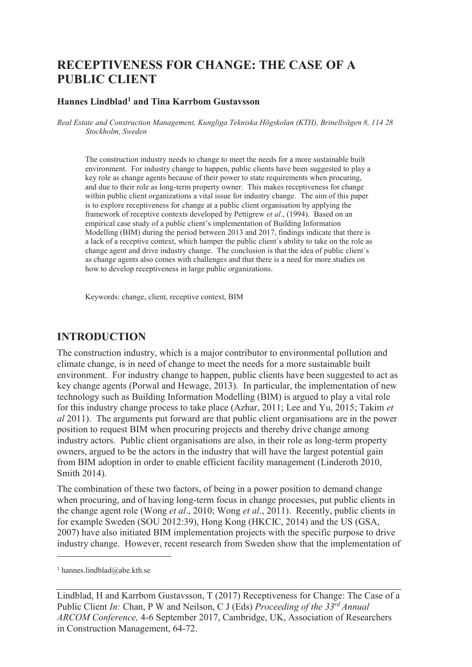# **RECEPTIVENESS FOR CHANGE: THE CASE OF A PUBLIC CLIENT**

#### **Hannes Lindblad<sup>1</sup> and Tina Karrbom Gustavsson**

*Real Estate and Construction Management, Kungliga Tekniska Högskolan (KTH), Brinellvägen 8, 114 28 Stockholm, Sweden* 

The construction industry needs to change to meet the needs for a more sustainable built environment. For industry change to happen, public clients have been suggested to play a key role as change agents because of their power to state requirements when procuring, and due to their role as long-term property owner. This makes receptiveness for change within public client organizations a vital issue for industry change. The aim of this paper is to explore receptiveness for change at a public client organisation by applying the framework of receptive contexts developed by Pettigrew *et al*., (1994). Based on an empirical case study of a public client's implementation of Building Information Modelling (BIM) during the period between 2013 and 2017, findings indicate that there is a lack of a receptive context, which hamper the public client´s ability to take on the role as change agent and drive industry change. The conclusion is that the idea of public client´s as change agents also comes with challenges and that there is a need for more studies on how to develop receptiveness in large public organizations.

Keywords: change, client, receptive context, BIM

#### **INTRODUCTION**

The construction industry, which is a major contributor to environmental pollution and climate change, is in need of change to meet the needs for a more sustainable built environment. For industry change to happen, public clients have been suggested to act as key change agents (Porwal and Hewage, 2013). In particular, the implementation of new technology such as Building Information Modelling (BIM) is argued to play a vital role for this industry change process to take place (Azhar, 2011; Lee and Yu, 2015; Takim *et al* 2011). The arguments put forward are that public client organisations are in the power position to request BIM when procuring projects and thereby drive change among industry actors. Public client organisations are also, in their role as long-term property owners, argued to be the actors in the industry that will have the largest potential gain from BIM adoption in order to enable efficient facility management (Linderoth 2010, Smith 2014).

The combination of these two factors, of being in a power position to demand change when procuring, and of having long-term focus in change processes, put public clients in the change agent role (Wong *et al*., 2010; Wong *et al*., 2011). Recently, public clients in for example Sweden (SOU 2012:39), Hong Kong (HKCIC, 2014) and the US (GSA, 2007) have also initiated BIM implementation projects with the specific purpose to drive industry change. However, recent research from Sweden show that the implementation of

-

<sup>1</sup> hannes.lindblad@abe.kth.se

Lindblad, H and Karrbom Gustavsson, T (2017) Receptiveness for Change: The Case of a Public Client *In:* Chan, P W and Neilson, C J (Eds) *Proceeding of the 33rd Annual ARCOM Conference,* 4-6 September 2017, Cambridge, UK, Association of Researchers in Construction Management, 64-72.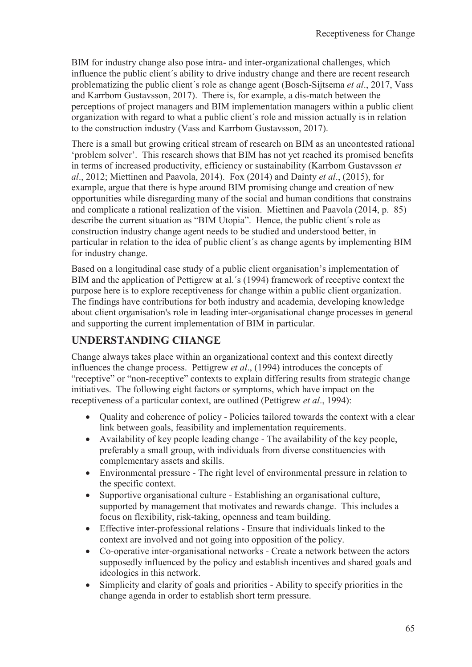BIM for industry change also pose intra- and inter-organizational challenges, which influence the public client´s ability to drive industry change and there are recent research problematizing the public client´s role as change agent (Bosch-Sijtsema *et al*., 2017, Vass and Karrbom Gustavsson, 2017). There is, for example, a dis-match between the perceptions of project managers and BIM implementation managers within a public client organization with regard to what a public client´s role and mission actually is in relation to the construction industry (Vass and Karrbom Gustavsson, 2017).

There is a small but growing critical stream of research on BIM as an uncontested rational 'problem solver'. This research shows that BIM has not yet reached its promised benefits in terms of increased productivity, efficiency or sustainability (Karrbom Gustavsson *et al*., 2012; Miettinen and Paavola, 2014). Fox (2014) and Dainty *et al*., (2015), for example, argue that there is hype around BIM promising change and creation of new opportunities while disregarding many of the social and human conditions that constrains and complicate a rational realization of the vision. Miettinen and Paavola (2014, p. 85) describe the current situation as "BIM Utopia". Hence, the public client´s role as construction industry change agent needs to be studied and understood better, in particular in relation to the idea of public client´s as change agents by implementing BIM for industry change.

Based on a longitudinal case study of a public client organisation's implementation of BIM and the application of Pettigrew at al.´s (1994) framework of receptive context the purpose here is to explore receptiveness for change within a public client organization. The findings have contributions for both industry and academia, developing knowledge about client organisation's role in leading inter-organisational change processes in general and supporting the current implementation of BIM in particular.

### **UNDERSTANDING CHANGE**

Change always takes place within an organizational context and this context directly influences the change process. Pettigrew *et al*., (1994) introduces the concepts of "receptive" or "non-receptive" contexts to explain differing results from strategic change initiatives. The following eight factors or symptoms, which have impact on the receptiveness of a particular context, are outlined (Pettigrew *et al*., 1994):

- · Quality and coherence of policy Policies tailored towards the context with a clear link between goals, feasibility and implementation requirements.
- · Availability of key people leading change The availability of the key people, preferably a small group, with individuals from diverse constituencies with complementary assets and skills.
- · Environmental pressure The right level of environmental pressure in relation to the specific context.
- · Supportive organisational culture Establishing an organisational culture, supported by management that motivates and rewards change. This includes a focus on flexibility, risk-taking, openness and team building.
- · Effective inter-professional relations Ensure that individuals linked to the context are involved and not going into opposition of the policy.
- · Co-operative inter-organisational networks Create a network between the actors supposedly influenced by the policy and establish incentives and shared goals and ideologies in this network.
- Simplicity and clarity of goals and priorities Ability to specify priorities in the change agenda in order to establish short term pressure.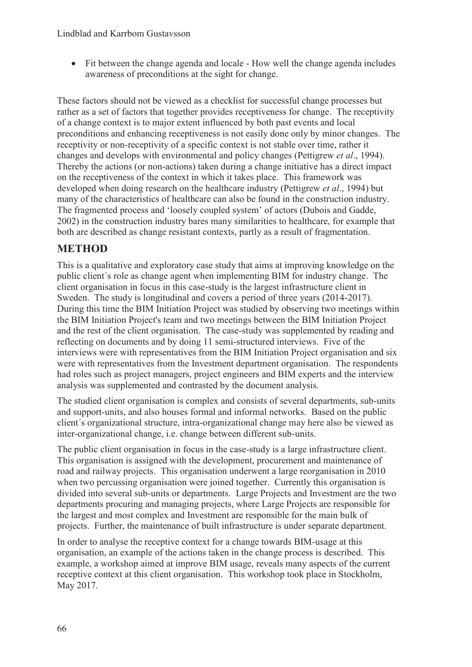• Fit between the change agenda and locale - How well the change agenda includes awareness of preconditions at the sight for change.

These factors should not be viewed as a checklist for successful change processes but rather as a set of factors that together provides receptiveness for change. The receptivity of a change context is to major extent influenced by both past events and local preconditions and enhancing receptiveness is not easily done only by minor changes. The receptivity or non-receptivity of a specific context is not stable over time, rather it changes and develops with environmental and policy changes (Pettigrew *et al*., 1994). Thereby the actions (or non-actions) taken during a change initiative has a direct impact on the receptiveness of the context in which it takes place. This framework was developed when doing research on the healthcare industry (Pettigrew *et al*., 1994) but many of the characteristics of healthcare can also be found in the construction industry. The fragmented process and 'loosely coupled system' of actors (Dubois and Gadde, 2002) in the construction industry bares many similarities to healthcare, for example that both are described as change resistant contexts, partly as a result of fragmentation.

### **METHOD**

This is a qualitative and exploratory case study that aims at improving knowledge on the public client´s role as change agent when implementing BIM for industry change. The client organisation in focus in this case-study is the largest infrastructure client in Sweden. The study is longitudinal and covers a period of three years (2014-2017). During this time the BIM Initiation Project was studied by observing two meetings within the BIM Initiation Project's team and two meetings between the BIM Initiation Project and the rest of the client organisation. The case-study was supplemented by reading and reflecting on documents and by doing 11 semi-structured interviews. Five of the interviews were with representatives from the BIM Initiation Project organisation and six were with representatives from the Investment department organisation. The respondents had roles such as project managers, project engineers and BIM experts and the interview analysis was supplemented and contrasted by the document analysis.

The studied client organisation is complex and consists of several departments, sub-units and support-units, and also houses formal and informal networks. Based on the public client´s organizational structure, intra-organizational change may here also be viewed as inter-organizational change, i.e. change between different sub-units.

The public client organisation in focus in the case-study is a large infrastructure client. This organisation is assigned with the development, procurement and maintenance of road and railway projects. This organisation underwent a large reorganisation in 2010 when two percussing organisation were joined together. Currently this organisation is divided into several sub-units or departments. Large Projects and Investment are the two departments procuring and managing projects, where Large Projects are responsible for the largest and most complex and Investment are responsible for the main bulk of projects. Further, the maintenance of built infrastructure is under separate department.

In order to analyse the receptive context for a change towards BIM-usage at this organisation, an example of the actions taken in the change process is described. This example, a workshop aimed at improve BIM usage, reveals many aspects of the current receptive context at this client organisation. This workshop took place in Stockholm, May 2017.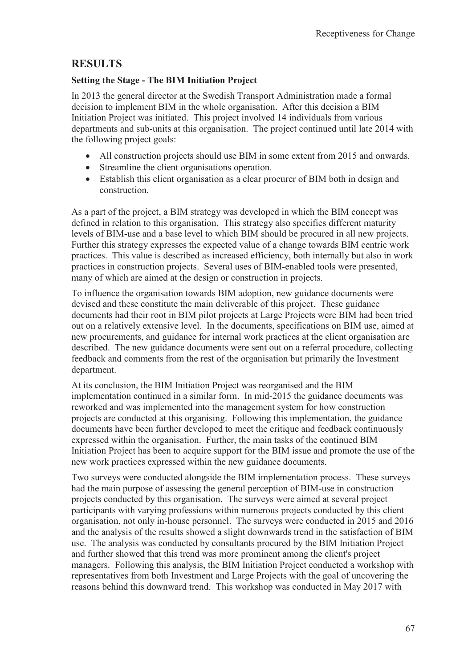## **RESULTS**

#### **Setting the Stage - The BIM Initiation Project**

In 2013 the general director at the Swedish Transport Administration made a formal decision to implement BIM in the whole organisation. After this decision a BIM Initiation Project was initiated. This project involved 14 individuals from various departments and sub-units at this organisation. The project continued until late 2014 with the following project goals:

- All construction projects should use BIM in some extent from 2015 and onwards.
- · Streamline the client organisations operation.
- Establish this client organisation as a clear procurer of BIM both in design and construction.

As a part of the project, a BIM strategy was developed in which the BIM concept was defined in relation to this organisation. This strategy also specifies different maturity levels of BIM-use and a base level to which BIM should be procured in all new projects. Further this strategy expresses the expected value of a change towards BIM centric work practices. This value is described as increased efficiency, both internally but also in work practices in construction projects. Several uses of BIM-enabled tools were presented, many of which are aimed at the design or construction in projects.

To influence the organisation towards BIM adoption, new guidance documents were devised and these constitute the main deliverable of this project. These guidance documents had their root in BIM pilot projects at Large Projects were BIM had been tried out on a relatively extensive level. In the documents, specifications on BIM use, aimed at new procurements, and guidance for internal work practices at the client organisation are described. The new guidance documents were sent out on a referral procedure, collecting feedback and comments from the rest of the organisation but primarily the Investment department.

At its conclusion, the BIM Initiation Project was reorganised and the BIM implementation continued in a similar form. In mid-2015 the guidance documents was reworked and was implemented into the management system for how construction projects are conducted at this organising. Following this implementation, the guidance documents have been further developed to meet the critique and feedback continuously expressed within the organisation. Further, the main tasks of the continued BIM Initiation Project has been to acquire support for the BIM issue and promote the use of the new work practices expressed within the new guidance documents.

Two surveys were conducted alongside the BIM implementation process. These surveys had the main purpose of assessing the general perception of BIM-use in construction projects conducted by this organisation. The surveys were aimed at several project participants with varying professions within numerous projects conducted by this client organisation, not only in-house personnel. The surveys were conducted in 2015 and 2016 and the analysis of the results showed a slight downwards trend in the satisfaction of BIM use. The analysis was conducted by consultants procured by the BIM Initiation Project and further showed that this trend was more prominent among the client's project managers. Following this analysis, the BIM Initiation Project conducted a workshop with representatives from both Investment and Large Projects with the goal of uncovering the reasons behind this downward trend. This workshop was conducted in May 2017 with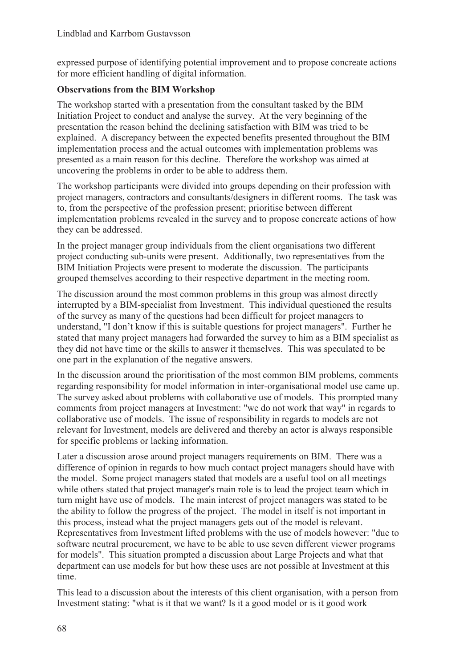expressed purpose of identifying potential improvement and to propose concreate actions for more efficient handling of digital information.

#### **Observations from the BIM Workshop**

The workshop started with a presentation from the consultant tasked by the BIM Initiation Project to conduct and analyse the survey. At the very beginning of the presentation the reason behind the declining satisfaction with BIM was tried to be explained. A discrepancy between the expected benefits presented throughout the BIM implementation process and the actual outcomes with implementation problems was presented as a main reason for this decline. Therefore the workshop was aimed at uncovering the problems in order to be able to address them.

The workshop participants were divided into groups depending on their profession with project managers, contractors and consultants/designers in different rooms. The task was to, from the perspective of the profession present; prioritise between different implementation problems revealed in the survey and to propose concreate actions of how they can be addressed.

In the project manager group individuals from the client organisations two different project conducting sub-units were present. Additionally, two representatives from the BIM Initiation Projects were present to moderate the discussion. The participants grouped themselves according to their respective department in the meeting room.

The discussion around the most common problems in this group was almost directly interrupted by a BIM-specialist from Investment. This individual questioned the results of the survey as many of the questions had been difficult for project managers to understand, "I don't know if this is suitable questions for project managers". Further he stated that many project managers had forwarded the survey to him as a BIM specialist as they did not have time or the skills to answer it themselves. This was speculated to be one part in the explanation of the negative answers.

In the discussion around the prioritisation of the most common BIM problems, comments regarding responsibility for model information in inter-organisational model use came up. The survey asked about problems with collaborative use of models. This prompted many comments from project managers at Investment: "we do not work that way" in regards to collaborative use of models. The issue of responsibility in regards to models are not relevant for Investment, models are delivered and thereby an actor is always responsible for specific problems or lacking information.

Later a discussion arose around project managers requirements on BIM. There was a difference of opinion in regards to how much contact project managers should have with the model. Some project managers stated that models are a useful tool on all meetings while others stated that project manager's main role is to lead the project team which in turn might have use of models. The main interest of project managers was stated to be the ability to follow the progress of the project. The model in itself is not important in this process, instead what the project managers gets out of the model is relevant. Representatives from Investment lifted problems with the use of models however: "due to software neutral procurement, we have to be able to use seven different viewer programs for models". This situation prompted a discussion about Large Projects and what that department can use models for but how these uses are not possible at Investment at this time.

This lead to a discussion about the interests of this client organisation, with a person from Investment stating: "what is it that we want? Is it a good model or is it good work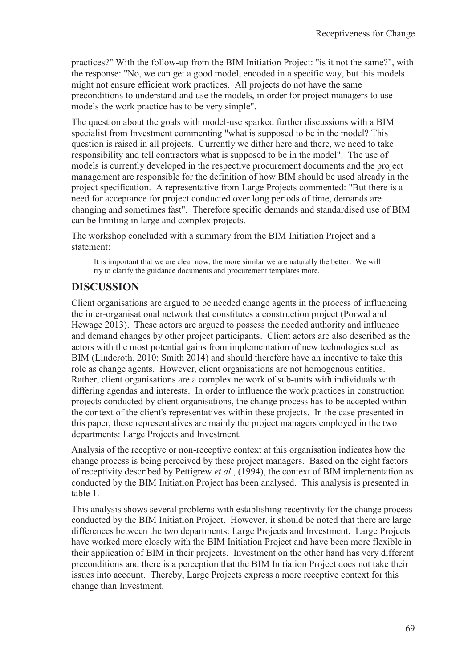practices?" With the follow-up from the BIM Initiation Project: "is it not the same?", with the response: "No, we can get a good model, encoded in a specific way, but this models might not ensure efficient work practices. All projects do not have the same preconditions to understand and use the models, in order for project managers to use models the work practice has to be very simple".

The question about the goals with model-use sparked further discussions with a BIM specialist from Investment commenting "what is supposed to be in the model? This question is raised in all projects. Currently we dither here and there, we need to take responsibility and tell contractors what is supposed to be in the model". The use of models is currently developed in the respective procurement documents and the project management are responsible for the definition of how BIM should be used already in the project specification. A representative from Large Projects commented: "But there is a need for acceptance for project conducted over long periods of time, demands are changing and sometimes fast". Therefore specific demands and standardised use of BIM can be limiting in large and complex projects.

The workshop concluded with a summary from the BIM Initiation Project and a statement:

It is important that we are clear now, the more similar we are naturally the better. We will try to clarify the guidance documents and procurement templates more.

## **DISCUSSION**

Client organisations are argued to be needed change agents in the process of influencing the inter-organisational network that constitutes a construction project (Porwal and Hewage 2013). These actors are argued to possess the needed authority and influence and demand changes by other project participants. Client actors are also described as the actors with the most potential gains from implementation of new technologies such as BIM (Linderoth, 2010; Smith 2014) and should therefore have an incentive to take this role as change agents. However, client organisations are not homogenous entities. Rather, client organisations are a complex network of sub-units with individuals with differing agendas and interests. In order to influence the work practices in construction projects conducted by client organisations, the change process has to be accepted within the context of the client's representatives within these projects. In the case presented in this paper, these representatives are mainly the project managers employed in the two departments: Large Projects and Investment.

Analysis of the receptive or non-receptive context at this organisation indicates how the change process is being perceived by these project managers. Based on the eight factors of receptivity described by Pettigrew *et al*., (1994), the context of BIM implementation as conducted by the BIM Initiation Project has been analysed. This analysis is presented in table 1.

This analysis shows several problems with establishing receptivity for the change process conducted by the BIM Initiation Project. However, it should be noted that there are large differences between the two departments: Large Projects and Investment. Large Projects have worked more closely with the BIM Initiation Project and have been more flexible in their application of BIM in their projects. Investment on the other hand has very different preconditions and there is a perception that the BIM Initiation Project does not take their issues into account. Thereby, Large Projects express a more receptive context for this change than Investment.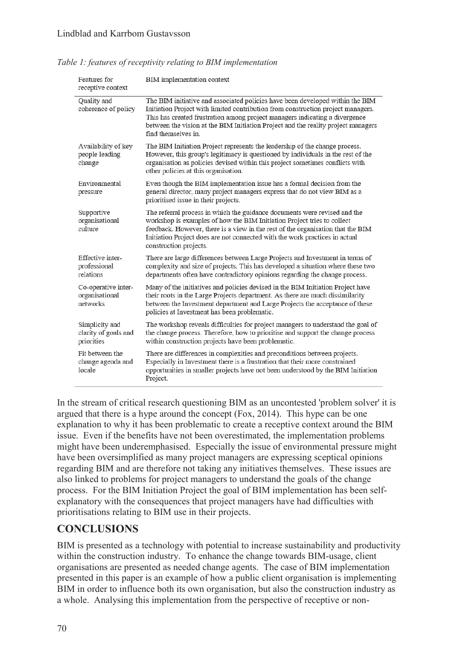| Features for<br>receptive context                    | BIM implementation context                                                                                                                                                                                                                                                                                                                                   |
|------------------------------------------------------|--------------------------------------------------------------------------------------------------------------------------------------------------------------------------------------------------------------------------------------------------------------------------------------------------------------------------------------------------------------|
| Quality and<br>coherence of policy                   | The BIM initiative and associated policies have been developed within the BIM<br>Initiation Project with limited contribution from construction project managers.<br>This has created frustration among project managers indicating a divergence<br>between the vision at the BIM Initiation Project and the reality project managers<br>find themselves in. |
| Availability of key<br>people leading<br>change      | The BIM Initiation Project represents the leadership of the change process.<br>However, this group's legitimacy is questioned by individuals in the rest of the<br>organisation as policies devised within this project sometimes conflicts with<br>other policies at this organisation.                                                                     |
| Environmental<br>pressure                            | Even though the BIM implementation issue has a formal decision from the<br>general director, many project managers express that do not view BIM as a<br>prioritised issue in their projects.                                                                                                                                                                 |
| Supportive<br>organisational<br>culture              | The referral process in which the guidance documents were revised and the<br>workshop is examples of how the BIM Initiation Project tries to collect<br>feedback. However, there is a view in the rest of the organisation that the BIM<br>Initiation Project does are not connected with the work practices in actual<br>construction projects.             |
| Effective inter-<br>professional<br>relations        | There are large differences between Large Projects and Investment in terms of<br>complexity and size of projects. This has developed a situation where these two<br>departments often have contradictory opinions regarding the change process.                                                                                                              |
| Co-operative inter-<br>organisational<br>networks    | Many of the initiatives and policies devised in the BIM Initiation Project have<br>their roots in the Large Projects department. As there are much dissimilarity<br>between the Investment department and Large Projects the acceptance of these<br>policies at Investment has been problematic.                                                             |
| Simplicity and<br>clarity of goals and<br>priorities | The workshop reveals difficulties for project managers to understand the goal of<br>the change process. Therefore, how to prioritise and support the change process<br>within construction projects have been problematic.                                                                                                                                   |
| Fit between the<br>change agenda and<br>locale       | There are differences in complexities and preconditions between projects.<br>Especially in Investment there is a frustration that their more constrained<br>opportunities in smaller projects have not been understood by the BIM Initiation<br>Project.                                                                                                     |

*Table 1: features of receptivity relating to BIM implementation* 

In the stream of critical research questioning BIM as an uncontested 'problem solver' it is argued that there is a hype around the concept (Fox, 2014). This hype can be one explanation to why it has been problematic to create a receptive context around the BIM issue. Even if the benefits have not been overestimated, the implementation problems might have been underemphasised. Especially the issue of environmental pressure might have been oversimplified as many project managers are expressing sceptical opinions regarding BIM and are therefore not taking any initiatives themselves. These issues are also linked to problems for project managers to understand the goals of the change process. For the BIM Initiation Project the goal of BIM implementation has been selfexplanatory with the consequences that project managers have had difficulties with prioritisations relating to BIM use in their projects.

### **CONCLUSIONS**

BIM is presented as a technology with potential to increase sustainability and productivity within the construction industry. To enhance the change towards BIM-usage, client organisations are presented as needed change agents. The case of BIM implementation presented in this paper is an example of how a public client organisation is implementing BIM in order to influence both its own organisation, but also the construction industry as a whole. Analysing this implementation from the perspective of receptive or non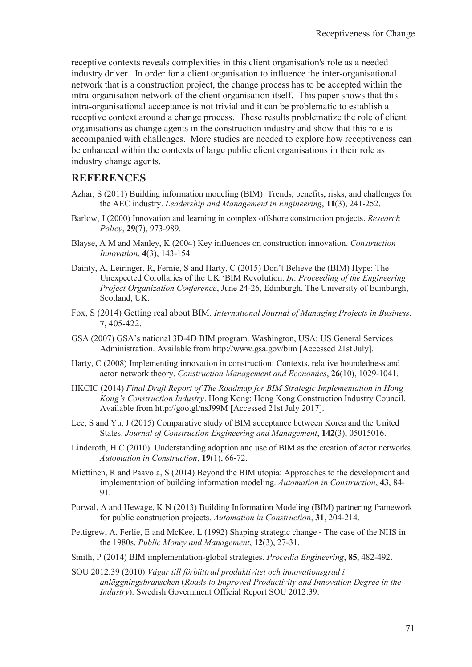receptive contexts reveals complexities in this client organisation's role as a needed industry driver. In order for a client organisation to influence the inter-organisational network that is a construction project, the change process has to be accepted within the intra-organisation network of the client organisation itself. This paper shows that this intra-organisational acceptance is not trivial and it can be problematic to establish a receptive context around a change process. These results problematize the role of client organisations as change agents in the construction industry and show that this role is accompanied with challenges. More studies are needed to explore how receptiveness can be enhanced within the contexts of large public client organisations in their role as industry change agents.

#### **REFERENCES**

- Azhar, S (2011) Building information modeling (BIM): Trends, benefits, risks, and challenges for the AEC industry. *Leadership and Management in Engineering*, **11**(3), 241-252.
- Barlow, J (2000) Innovation and learning in complex offshore construction projects. *Research Policy*, **29**(7), 973-989.
- Blayse, A M and Manley, K (2004) Key influences on construction innovation. *Construction Innovation*, **4**(3), 143-154.
- Dainty, A, Leiringer, R, Fernie, S and Harty, C (2015) Don't Believe the (BIM) Hype: The Unexpected Corollaries of the UK 'BIM Revolution. *In*: *Proceeding of the Engineering Project Organization Conference*, June 24-26, Edinburgh, The University of Edinburgh, Scotland, UK.
- Fox, S (2014) Getting real about BIM. *International Journal of Managing Projects in Business*, **7**, 405-422.
- GSA (2007) GSA's national 3D-4D BIM program. Washington, USA: US General Services Administration. Available from http://www.gsa.gov/bim [Accessed 21st July].
- Harty, C (2008) Implementing innovation in construction: Contexts, relative boundedness and actorǦnetwork theory. *Construction Management and Economics*, **26**(10), 1029-1041.
- HKCIC (2014) *Final Draft Report of The Roadmap for BIM Strategic Implementation in Hong Kong's Construction Industry*. Hong Kong: Hong Kong Construction Industry Council. Available from http://goo.gl/nsJ99M [Accessed 21st July 2017].
- Lee, S and Yu, J (2015) Comparative study of BIM acceptance between Korea and the United States. *Journal of Construction Engineering and Management*, **142**(3), 05015016.
- Linderoth, H C (2010). Understanding adoption and use of BIM as the creation of actor networks. *Automation in Construction*, **19**(1), 66-72.
- Miettinen, R and Paavola, S (2014) Beyond the BIM utopia: Approaches to the development and implementation of building information modeling. *Automation in Construction*, **43**, 84- 91.
- Porwal, A and Hewage, K N (2013) Building Information Modeling (BIM) partnering framework for public construction projects. *Automation in Construction*, **31**, 204-214.
- Pettigrew, A, Ferlie, E and McKee, L (1992) Shaping strategic change The case of the NHS in the 1980s. *Public Money and Management*, **12**(3), 27-31.
- Smith, P (2014) BIM implementation-global strategies. *Procedia Engineering*, **85**, 482-492.
- SOU 2012:39 (2010) *Vägar till förbättrad produktivitet och innovationsgrad i anläggningsbranschen* (*Roads to Improved Productivity and Innovation Degree in the Industry*). Swedish Government Official Report SOU 2012:39.